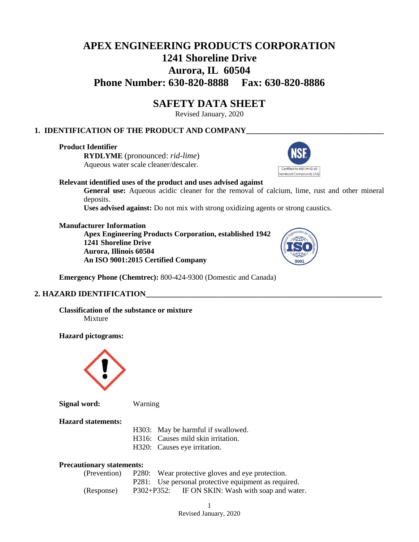# **APEX ENGINEERING PRODUCTS CORPORATION 1241 Shoreline Drive Aurora, IL 60504 Phone Number: 630-820-8888 Fax: 630-820-8886**

# **SAFETY DATA SHEET**

Revised January, 2020

# **1. IDENTIFICATION OF THE PRODUCT AND COMPANY\_\_\_\_\_\_\_\_\_\_\_\_\_\_\_\_\_\_\_\_\_\_\_\_\_\_\_\_\_\_\_\_\_\_\_**

# **Product Identifier**

**RYDLYME** (pronounced: *rid-lime*) Aqueous water scale cleaner/descaler.



#### **Relevant identified uses of the product and uses advised against**

**General use:** Aqueous acidic cleaner for the removal of calcium, lime, rust and other mineral deposits.

**Uses advised against:** Do not mix with strong oxidizing agents or strong caustics.

#### **Manufacturer Information**

**Apex Engineering Products Corporation, established 1942 1241 Shoreline Drive Aurora, Illinois 60504 An ISO 9001:2015 Certified Company**



**Emergency Phone (Chemtrec):** 800-424-9300 (Domestic and Canada)

#### **2. HAZARD IDENTIFICATION\_\_\_\_\_\_\_\_\_\_\_\_\_\_\_\_\_\_\_\_\_\_\_\_\_\_\_\_\_\_\_\_\_\_\_\_\_\_\_\_\_\_\_\_\_\_\_\_\_\_\_\_\_\_\_\_\_\_\_\_**

**Classification of the substance or mixture** Mixture

**Hazard pictograms:**



**Signal word:** Warning

# **Hazard statements:**

H303: May be harmful if swallowed.

- H316: Causes mild skin irritation.
	- H320: Causes eye irritation.

#### **Precautionary statements:**

| (Prevention) |                 | P280: Wear protective gloves and eye protection.     |
|--------------|-----------------|------------------------------------------------------|
|              |                 | P281: Use personal protective equipment as required. |
| (Response)   | $P302 + P352$ : | IF ON SKIN: Wash with soap and water.                |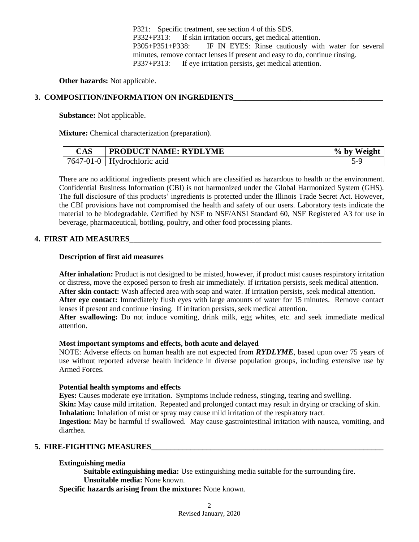P321: Specific treatment, see section 4 of this SDS. P332+P313: If skin irritation occurs, get medical attention. P305+P351+P338: IF IN EYES: Rinse cautiously with water for several minutes, remove contact lenses if present and easy to do, continue rinsing. P337+P313: If eye irritation persists, get medical attention.

**Other hazards:** Not applicable.

# **3. COMPOSITION/INFORMATION ON INGREDIENTS**

**Substance:** Not applicable.

**Mixture:** Chemical characterization (preparation).

| $\mathop{\rm CAS}\nolimits$ | <b>PRODUCT NAME: RYDLYME</b> | Weight<br>$%$ by |
|-----------------------------|------------------------------|------------------|
| 7647-01-0                   | Hydrochloric acid            |                  |

There are no additional ingredients present which are classified as hazardous to health or the environment. Confidential Business Information (CBI) is not harmonized under the Global Harmonized System (GHS). The full disclosure of this products' ingredients is protected under the Illinois Trade Secret Act. However, the CBI provisions have not compromised the health and safety of our users. Laboratory tests indicate the material to be biodegradable. Certified by NSF to NSF/ANSI Standard 60, NSF Registered A3 for use in beverage, pharmaceutical, bottling, poultry, and other food processing plants.

#### **4. FIRST AID MEASURES\_\_\_\_\_\_\_\_\_\_\_\_\_\_\_\_\_\_\_\_\_\_\_\_\_\_\_\_\_\_\_\_\_\_\_\_\_\_\_\_\_\_\_\_\_\_\_\_\_\_\_\_\_\_\_\_\_\_\_\_\_\_\_\_**

#### **Description of first aid measures**

**After inhalation:** Product is not designed to be misted, however, if product mist causes respiratory irritation or distress, move the exposed person to fresh air immediately. If irritation persists, seek medical attention. **After skin contact:** Wash affected area with soap and water. If irritation persists, seek medical attention. **After eye contact:** Immediately flush eyes with large amounts of water for 15 minutes. Remove contact lenses if present and continue rinsing. If irritation persists, seek medical attention.

**After swallowing:** Do not induce vomiting, drink milk, egg whites, etc. and seek immediate medical attention.

#### **Most important symptoms and effects, both acute and delayed**

NOTE: Adverse effects on human health are not expected from *RYDLYME*, based upon over 75 years of use without reported adverse health incidence in diverse population groups, including extensive use by Armed Forces.

#### **Potential health symptoms and effects**

**Eyes:** Causes moderate eye irritation. Symptoms include redness, stinging, tearing and swelling. **Skin:** May cause mild irritation. Repeated and prolonged contact may result in drying or cracking of skin. **Inhalation:** Inhalation of mist or spray may cause mild irritation of the respiratory tract. **Ingestion:** May be harmful if swallowed. May cause gastrointestinal irritation with nausea, vomiting, and

diarrhea.

#### **5. FIRE-FIGHTING MEASURES\_\_\_\_\_\_\_\_\_\_\_\_\_\_\_\_\_\_\_\_\_\_\_\_\_\_\_\_\_\_\_\_\_\_\_\_\_\_\_\_\_\_\_\_\_\_\_\_\_\_\_\_\_\_\_\_\_\_\_**

#### **Extinguishing media**

**Suitable extinguishing media:** Use extinguishing media suitable for the surrounding fire. **Unsuitable media:** None known.

**Specific hazards arising from the mixture:** None known.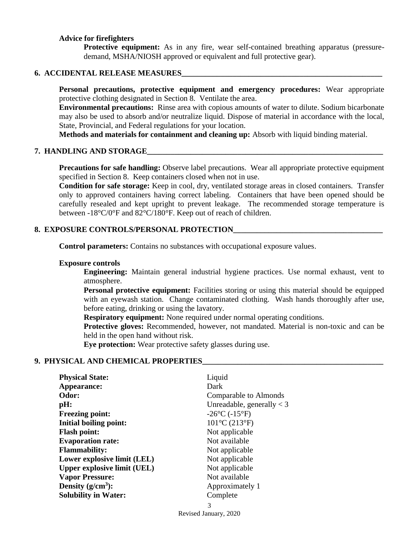#### **Advice for firefighters**

**Protective equipment:** As in any fire, wear self-contained breathing apparatus (pressuredemand, MSHA/NIOSH approved or equivalent and full protective gear).

#### **6. ACCIDENTAL RELEASE MEASURES**

**Personal precautions, protective equipment and emergency procedures:** Wear appropriate protective clothing designated in Section 8. Ventilate the area.

**Environmental precautions:** Rinse area with copious amounts of water to dilute. Sodium bicarbonate may also be used to absorb and/or neutralize liquid. Dispose of material in accordance with the local, State, Provincial, and Federal regulations for your location.

**Methods and materials for containment and cleaning up:** Absorb with liquid binding material.

#### **7. HANDLING AND STORAGE\_\_\_\_\_\_\_\_\_\_\_\_\_\_\_\_\_\_\_\_\_\_\_\_\_\_\_\_\_\_\_\_\_\_\_\_\_\_\_\_\_\_\_\_\_\_\_\_\_\_\_\_\_\_\_\_\_\_\_\_**

**Precautions for safe handling:** Observe label precautions. Wear all appropriate protective equipment specified in Section 8. Keep containers closed when not in use.

**Condition for safe storage:** Keep in cool, dry, ventilated storage areas in closed containers. Transfer only to approved containers having correct labeling. Containers that have been opened should be carefully resealed and kept upright to prevent leakage. The recommended storage temperature is between -18°C/0°F and 82°C/180°F. Keep out of reach of children.

# **8. EXPOSURE CONTROLS/PERSONAL PROTECTION\_\_\_\_\_\_\_\_\_\_\_\_\_\_\_\_\_\_\_\_\_\_\_\_\_\_\_\_\_\_\_\_\_\_\_\_\_\_**

**Control parameters:** Contains no substances with occupational exposure values.

#### **Exposure controls**

**Engineering:** Maintain general industrial hygiene practices. Use normal exhaust, vent to atmosphere.

**Personal protective equipment:** Facilities storing or using this material should be equipped with an eyewash station. Change contaminated clothing. Wash hands thoroughly after use, before eating, drinking or using the lavatory.

**Respiratory equipment:** None required under normal operating conditions.

**Protective gloves:** Recommended, however, not mandated. Material is non-toxic and can be held in the open hand without risk.

**Eye protection:** Wear protective safety glasses during use.

#### **9. PHYSICAL AND CHEMICAL PROPERTIES\_\_\_\_\_\_\_\_\_\_\_\_\_\_\_\_\_\_\_\_\_\_\_\_\_\_\_\_\_\_\_\_\_\_\_\_\_\_\_\_\_\_\_\_\_\_**

| <b>Physical State:</b>             | Liquid                       |
|------------------------------------|------------------------------|
| Appearance:                        | Dark                         |
| Odor:                              | Comparable to Almonds        |
| pH:                                | Unreadable, generally $<$ 3  |
| <b>Freezing point:</b>             | $-26$ °C ( $-15$ °F)         |
| Initial boiling point:             | $101^{\circ}C(213^{\circ}F)$ |
| <b>Flash point:</b>                | Not applicable               |
| <b>Evaporation rate:</b>           | Not available                |
| <b>Flammability:</b>               | Not applicable               |
| Lower explosive limit (LEL)        | Not applicable               |
| <b>Upper explosive limit (UEL)</b> | Not applicable               |
| <b>Vapor Pressure:</b>             | Not available                |
| Density $(g/cm^3)$ :               | Approximately 1              |
| <b>Solubility in Water:</b>        | Complete                     |
|                                    | 3                            |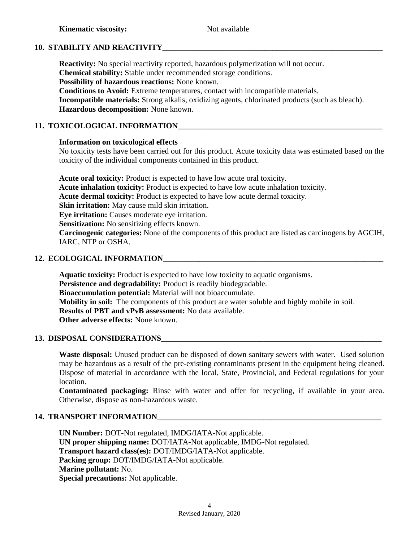# **10. STABILITY AND REACTIVITY**

**Reactivity:** No special reactivity reported, hazardous polymerization will not occur. **Chemical stability:** Stable under recommended storage conditions. **Possibility of hazardous reactions:** None known. **Conditions to Avoid:** Extreme temperatures, contact with incompatible materials. **Incompatible materials:** Strong alkalis, oxidizing agents, chlorinated products (such as bleach).

**Hazardous decomposition:** None known.

# **11. TOXICOLOGICAL INFORMATION\_\_\_\_\_\_\_\_\_\_\_\_\_\_\_\_\_\_\_\_\_\_\_\_\_\_\_\_\_\_\_\_\_\_\_\_\_\_\_\_\_\_\_\_\_\_\_\_\_\_\_\_**

# **Information on toxicological effects**

No toxicity tests have been carried out for this product. Acute toxicity data was estimated based on the toxicity of the individual components contained in this product.

**Acute oral toxicity:** Product is expected to have low acute oral toxicity. **Acute inhalation toxicity:** Product is expected to have low acute inhalation toxicity. **Acute dermal toxicity:** Product is expected to have low acute dermal toxicity. **Skin irritation:** May cause mild skin irritation. **Eye irritation:** Causes moderate eye irritation. **Sensitization:** No sensitizing effects known. **Carcinogenic categories:** None of the components of this product are listed as carcinogens by AGCIH, IARC, NTP or OSHA.

# **12. ECOLOGICAL INFORMATION\_\_\_\_\_\_\_\_\_\_\_\_\_\_\_\_\_\_\_\_\_\_\_\_\_\_\_\_\_\_\_\_\_\_\_\_\_\_\_\_\_\_\_\_\_\_\_\_\_\_\_\_\_\_\_\_**

**Aquatic toxicity:** Product is expected to have low toxicity to aquatic organisms. **Persistence and degradability:** Product is readily biodegradable. **Bioaccumulation potential:** Material will not bioaccumulate. **Mobility in soil:** The components of this product are water soluble and highly mobile in soil. **Results of PBT and vPvB assessment:** No data available. **Other adverse effects:** None known.

# **13. DISPOSAL CONSIDERATIONS**

**Waste disposal:** Unused product can be disposed of down sanitary sewers with water. Used solution may be hazardous as a result of the pre-existing contaminants present in the equipment being cleaned. Dispose of material in accordance with the local, State, Provincial, and Federal regulations for your location.

**Contaminated packaging:** Rinse with water and offer for recycling, if available in your area. Otherwise, dispose as non-hazardous waste.

# **14. TRANSPORT INFORMATION**

**UN Number:** DOT**-**Not regulated, IMDG/IATA-Not applicable. **UN proper shipping name:** DOT/IATA-Not applicable, IMDG-Not regulated. **Transport hazard class(es):** DOT/IMDG/IATA-Not applicable. **Packing group:** DOT/IMDG/IATA-Not applicable. **Marine pollutant:** No. **Special precautions:** Not applicable.